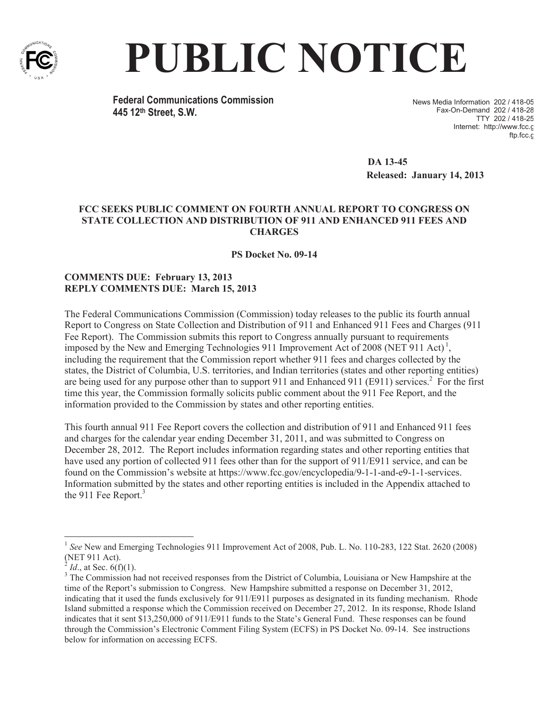

## **PUBLIC NOTICE**

**Federal Communications Commission 445 12th Street, S.W.**

News Media Information 202 / 418-05 Fax-On-Demand 202 / 418-28 TTY 202 / 418-25 Internet: http://www.fcc.g ftp.fcc.c

**DA 13-45 Released: January 14, 2013** 

## **FCC SEEKS PUBLIC COMMENT ON FOURTH ANNUAL REPORT TO CONGRESS ON STATE COLLECTION AND DISTRIBUTION OF 911 AND ENHANCED 911 FEES AND CHARGES**

**PS Docket No. 09-14**

## **COMMENTS DUE: February 13, 2013 REPLY COMMENTS DUE: March 15, 2013**

The Federal Communications Commission (Commission) today releases to the public its fourth annual Report to Congress on State Collection and Distribution of 911 and Enhanced 911 Fees and Charges (911 Fee Report). The Commission submits this report to Congress annually pursuant to requirements imposed by the New and Emerging Technologies 911 Improvement Act of 2008 (NET 911 Act)<sup>1</sup>, including the requirement that the Commission report whether 911 fees and charges collected by the states, the District of Columbia, U.S. territories, and Indian territories (states and other reporting entities) are being used for any purpose other than to support 911 and Enhanced 911 (E911) services.<sup>2</sup> For the first time this year, the Commission formally solicits public comment about the 911 Fee Report, and the information provided to the Commission by states and other reporting entities.

This fourth annual 911 Fee Report covers the collection and distribution of 911 and Enhanced 911 fees and charges for the calendar year ending December 31, 2011, and was submitted to Congress on December 28, 2012. The Report includes information regarding states and other reporting entities that have used any portion of collected 911 fees other than for the support of 911/E911 service, and can be found on the Commission's website at https://www.fcc.gov/encyclopedia/9-1-1-and-e9-1-1-services. Information submitted by the states and other reporting entities is included in the Appendix attached to the 911 Fee Report.<sup>3</sup>

<sup>1</sup> *See* New and Emerging Technologies 911 Improvement Act of 2008, Pub. L. No. 110-283, 122 Stat. 2620 (2008) (NET 911 Act).<br> $^{2}$  *M* at See 6(f)

*Id.*, at Sec. 6(f)(1).

<sup>&</sup>lt;sup>3</sup> The Commission had not received responses from the District of Columbia, Louisiana or New Hampshire at the time of the Report's submission to Congress. New Hampshire submitted a response on December 31, 2012, indicating that it used the funds exclusively for 911/E911 purposes as designated in its funding mechanism. Rhode Island submitted a response which the Commission received on December 27, 2012. In its response, Rhode Island indicates that it sent \$13,250,000 of 911/E911 funds to the State's General Fund. These responses can be found through the Commission's Electronic Comment Filing System (ECFS) in PS Docket No. 09-14. See instructions below for information on accessing ECFS.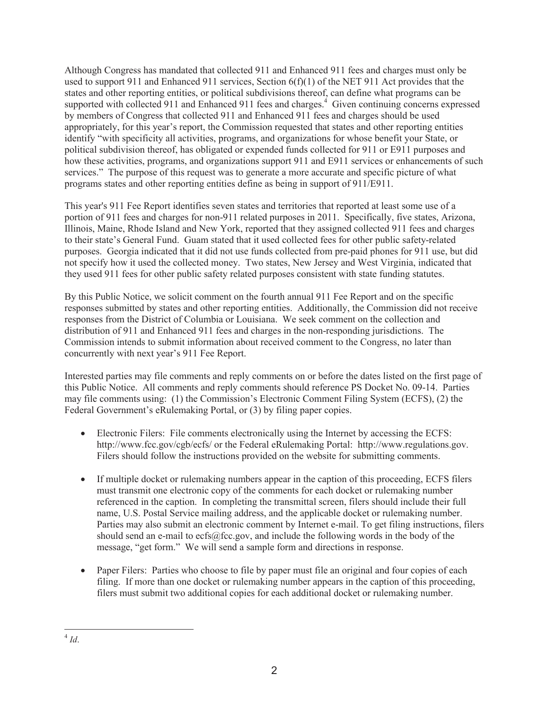Although Congress has mandated that collected 911 and Enhanced 911 fees and charges must only be used to support 911 and Enhanced 911 services, Section 6(f)(1) of the NET 911 Act provides that the states and other reporting entities, or political subdivisions thereof, can define what programs can be supported with collected 911 and Enhanced 911 fees and charges.<sup>4</sup> Given continuing concerns expressed by members of Congress that collected 911 and Enhanced 911 fees and charges should be used appropriately, for this year's report, the Commission requested that states and other reporting entities identify "with specificity all activities, programs, and organizations for whose benefit your State, or political subdivision thereof, has obligated or expended funds collected for 911 or E911 purposes and how these activities, programs, and organizations support 911 and E911 services or enhancements of such services." The purpose of this request was to generate a more accurate and specific picture of what programs states and other reporting entities define as being in support of 911/E911.

This year's 911 Fee Report identifies seven states and territories that reported at least some use of a portion of 911 fees and charges for non-911 related purposes in 2011. Specifically, five states, Arizona, Illinois, Maine, Rhode Island and New York, reported that they assigned collected 911 fees and charges to their state's General Fund. Guam stated that it used collected fees for other public safety-related purposes. Georgia indicated that it did not use funds collected from pre-paid phones for 911 use, but did not specify how it used the collected money. Two states, New Jersey and West Virginia, indicated that they used 911 fees for other public safety related purposes consistent with state funding statutes.

By this Public Notice, we solicit comment on the fourth annual 911 Fee Report and on the specific responses submitted by states and other reporting entities. Additionally, the Commission did not receive responses from the District of Columbia or Louisiana. We seek comment on the collection and distribution of 911 and Enhanced 911 fees and charges in the non-responding jurisdictions. The Commission intends to submit information about received comment to the Congress, no later than concurrently with next year's 911 Fee Report.

Interested parties may file comments and reply comments on or before the dates listed on the first page of this Public Notice. All comments and reply comments should reference PS Docket No. 09-14. Parties may file comments using: (1) the Commission's Electronic Comment Filing System (ECFS), (2) the Federal Government's eRulemaking Portal, or (3) by filing paper copies.

- · Electronic Filers: File comments electronically using the Internet by accessing the ECFS: http://www.fcc.gov/cgb/ecfs/ or the Federal eRulemaking Portal: http://www.regulations.gov. Filers should follow the instructions provided on the website for submitting comments.
- If multiple docket or rulemaking numbers appear in the caption of this proceeding, ECFS filers must transmit one electronic copy of the comments for each docket or rulemaking number referenced in the caption. In completing the transmittal screen, filers should include their full name, U.S. Postal Service mailing address, and the applicable docket or rulemaking number. Parties may also submit an electronic comment by Internet e-mail. To get filing instructions, filers should send an e-mail to ecfs@fcc.gov, and include the following words in the body of the message, "get form." We will send a sample form and directions in response.
- · Paper Filers: Parties who choose to file by paper must file an original and four copies of each filing. If more than one docket or rulemaking number appears in the caption of this proceeding, filers must submit two additional copies for each additional docket or rulemaking number.